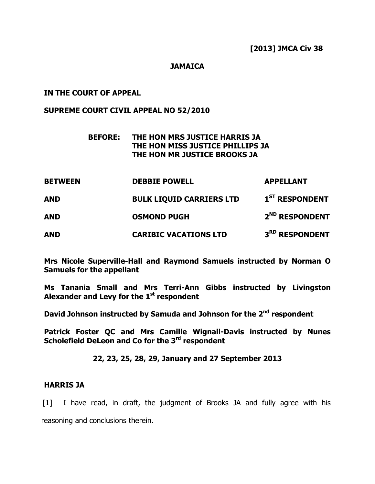## **JAMAICA**

## IN THE COURT OF APPEAL

## SUPREME COURT CIVIL APPEAL NO 52/2010

## BEFORE: THE HON MRS JUSTICE HARRIS JA THE HON MISS JUSTICE PHILLIPS JA THE HON MR JUSTICE BROOKS JA

| <b>BETWEEN</b> | <b>DEBBIE POWELL</b>            | <b>APPELLANT</b>           |
|----------------|---------------------------------|----------------------------|
| <b>AND</b>     | <b>BULK LIQUID CARRIERS LTD</b> | 1 <sup>ST</sup> RESPONDENT |
| <b>AND</b>     | <b>OSMOND PUGH</b>              | 2 <sup>ND</sup> RESPONDENT |
| <b>AND</b>     | <b>CARIBIC VACATIONS LTD</b>    | 3 <sup>RD</sup> RESPONDENT |

Mrs Nicole Superville-Hall and Raymond Samuels instructed by Norman O Samuels for the appellant

Ms Tanania Small and Mrs Terri-Ann Gibbs instructed by Livingston Alexander and Levy for the  $1<sup>st</sup>$  respondent

David Johnson instructed by Samuda and Johnson for the 2<sup>nd</sup> respondent

Patrick Foster QC and Mrs Camille Wignall-Davis instructed by Nunes Scholefield DeLeon and Co for the 3<sup>rd</sup> respondent

## 22, 23, 25, 28, 29, January and 27 September 2013

## HARRIS JA

[1] I have read, in draft, the judgment of Brooks JA and fully agree with his reasoning and conclusions therein.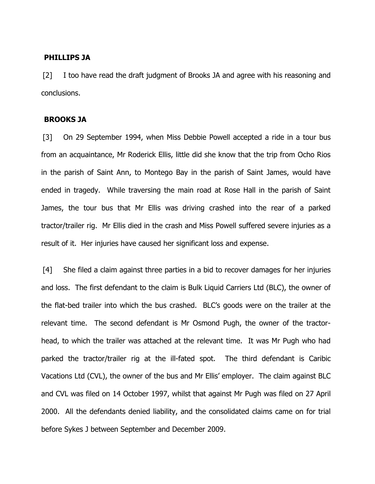#### PHILLIPS JA

[2] I too have read the draft judgment of Brooks JA and agree with his reasoning and conclusions.

## BROOKS JA

[3] On 29 September 1994, when Miss Debbie Powell accepted a ride in a tour bus from an acquaintance, Mr Roderick Ellis, little did she know that the trip from Ocho Rios in the parish of Saint Ann, to Montego Bay in the parish of Saint James, would have ended in tragedy. While traversing the main road at Rose Hall in the parish of Saint James, the tour bus that Mr Ellis was driving crashed into the rear of a parked tractor/trailer rig. Mr Ellis died in the crash and Miss Powell suffered severe injuries as a result of it. Her injuries have caused her significant loss and expense.

[4] She filed a claim against three parties in a bid to recover damages for her injuries and loss. The first defendant to the claim is Bulk Liquid Carriers Ltd (BLC), the owner of the flat-bed trailer into which the bus crashed. BLC's goods were on the trailer at the relevant time. The second defendant is Mr Osmond Pugh, the owner of the tractorhead, to which the trailer was attached at the relevant time. It was Mr Pugh who had parked the tractor/trailer rig at the ill-fated spot. The third defendant is Caribic Vacations Ltd (CVL), the owner of the bus and Mr Ellis' employer. The claim against BLC and CVL was filed on 14 October 1997, whilst that against Mr Pugh was filed on 27 April 2000. All the defendants denied liability, and the consolidated claims came on for trial before Sykes J between September and December 2009.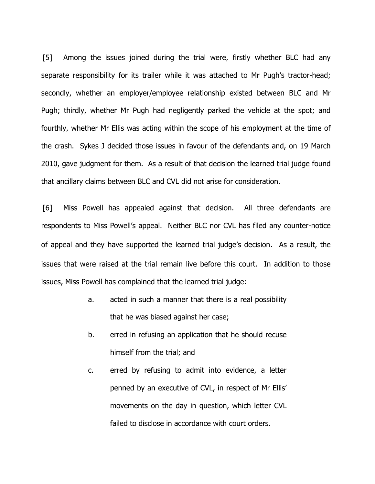[5] Among the issues joined during the trial were, firstly whether BLC had any separate responsibility for its trailer while it was attached to Mr Pugh's tractor-head; secondly, whether an employer/employee relationship existed between BLC and Mr Pugh; thirdly, whether Mr Pugh had negligently parked the vehicle at the spot; and fourthly, whether Mr Ellis was acting within the scope of his employment at the time of the crash. Sykes J decided those issues in favour of the defendants and, on 19 March 2010, gave judgment for them. As a result of that decision the learned trial judge found that ancillary claims between BLC and CVL did not arise for consideration.

[6] Miss Powell has appealed against that decision. All three defendants are respondents to Miss Powell's appeal. Neither BLC nor CVL has filed any counter-notice of appeal and they have supported the learned trial judge's decision. As a result, the issues that were raised at the trial remain live before this court. In addition to those issues, Miss Powell has complained that the learned trial judge:

- a. acted in such a manner that there is a real possibility that he was biased against her case;
- b. erred in refusing an application that he should recuse himself from the trial; and
- c. erred by refusing to admit into evidence, a letter penned by an executive of CVL, in respect of Mr Ellis' movements on the day in question, which letter CVL failed to disclose in accordance with court orders.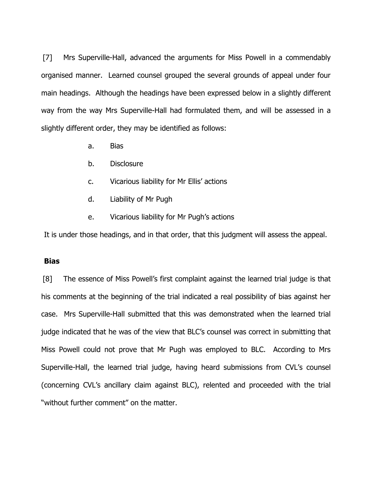[7] Mrs Superville-Hall, advanced the arguments for Miss Powell in a commendably organised manner. Learned counsel grouped the several grounds of appeal under four main headings. Although the headings have been expressed below in a slightly different way from the way Mrs Superville-Hall had formulated them, and will be assessed in a slightly different order, they may be identified as follows:

- a. Bias
- b. Disclosure
- c. Vicarious liability for Mr Ellis' actions
- d. Liability of Mr Pugh
- e. Vicarious liability for Mr Pugh's actions

It is under those headings, and in that order, that this judgment will assess the appeal.

### **Bias**

[8] The essence of Miss Powell's first complaint against the learned trial judge is that his comments at the beginning of the trial indicated a real possibility of bias against her case. Mrs Superville-Hall submitted that this was demonstrated when the learned trial judge indicated that he was of the view that BLC's counsel was correct in submitting that Miss Powell could not prove that Mr Pugh was employed to BLC. According to Mrs Superville-Hall, the learned trial judge, having heard submissions from CVL's counsel (concerning CVL's ancillary claim against BLC), relented and proceeded with the trial "without further comment" on the matter.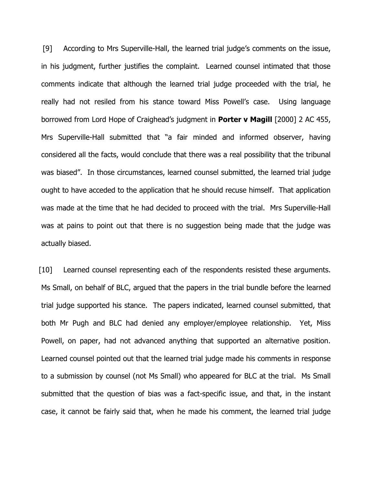[9] According to Mrs Superville-Hall, the learned trial judge's comments on the issue, in his judgment, further justifies the complaint. Learned counsel intimated that those comments indicate that although the learned trial judge proceeded with the trial, he really had not resiled from his stance toward Miss Powell's case. Using language borrowed from Lord Hope of Craighead's judgment in **Porter v Magill** [2000] 2 AC 455, Mrs Superville-Hall submitted that "a fair minded and informed observer, having considered all the facts, would conclude that there was a real possibility that the tribunal was biased". In those circumstances, learned counsel submitted, the learned trial judge ought to have acceded to the application that he should recuse himself. That application was made at the time that he had decided to proceed with the trial. Mrs Superville-Hall was at pains to point out that there is no suggestion being made that the judge was actually biased.

[10] Learned counsel representing each of the respondents resisted these arguments. Ms Small, on behalf of BLC, argued that the papers in the trial bundle before the learned trial judge supported his stance. The papers indicated, learned counsel submitted, that both Mr Pugh and BLC had denied any employer/employee relationship. Yet, Miss Powell, on paper, had not advanced anything that supported an alternative position. Learned counsel pointed out that the learned trial judge made his comments in response to a submission by counsel (not Ms Small) who appeared for BLC at the trial. Ms Small submitted that the question of bias was a fact-specific issue, and that, in the instant case, it cannot be fairly said that, when he made his comment, the learned trial judge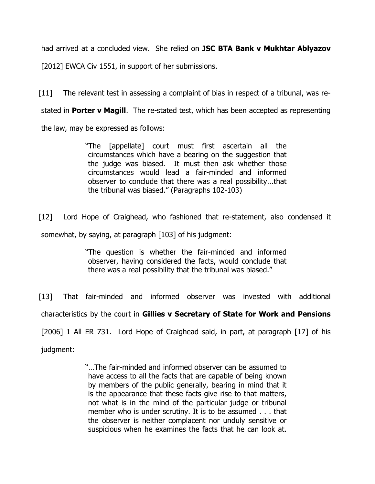had arrived at a concluded view. She relied on JSC BTA Bank v Mukhtar Ablyazov

[2012] EWCA Civ 1551, in support of her submissions.

[11] The relevant test in assessing a complaint of bias in respect of a tribunal, was restated in **Porter v Magill**. The re-stated test, which has been accepted as representing the law, may be expressed as follows:

> "The [appellate] court must first ascertain all the circumstances which have a bearing on the suggestion that the judge was biased. It must then ask whether those circumstances would lead a fair-minded and informed observer to conclude that there was a real possibility...that the tribunal was biased." (Paragraphs 102-103)

[12] Lord Hope of Craighead, who fashioned that re-statement, also condensed it

somewhat, by saying, at paragraph [103] of his judgment:

"The question is whether the fair-minded and informed observer, having considered the facts, would conclude that there was a real possibility that the tribunal was biased."

[13] That fair-minded and informed observer was invested with additional

characteristics by the court in Gillies v Secretary of State for Work and Pensions

[2006] 1 All ER 731. Lord Hope of Craighead said, in part, at paragraph [17] of his

judgment:

"…The fair-minded and informed observer can be assumed to have access to all the facts that are capable of being known by members of the public generally, bearing in mind that it is the appearance that these facts give rise to that matters, not what is in the mind of the particular judge or tribunal member who is under scrutiny. It is to be assumed . . . that the observer is neither complacent nor unduly sensitive or suspicious when he examines the facts that he can look at.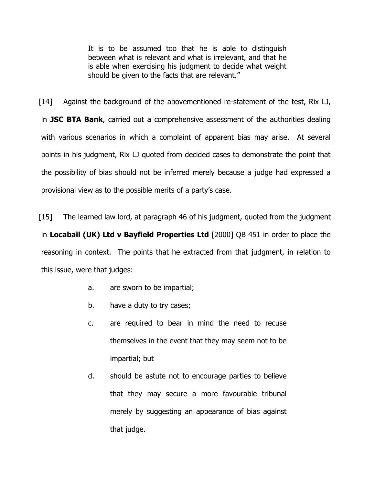It is to be assumed too that he is able to distinguish between what is relevant and what is irrelevant, and that he is able when exercising his judgment to decide what weight should be given to the facts that are relevant."

[14] Against the background of the abovementioned re-statement of the test, Rix LJ, in **JSC BTA Bank**, carried out a comprehensive assessment of the authorities dealing with various scenarios in which a complaint of apparent bias may arise. At several points in his judgment, Rix LJ quoted from decided cases to demonstrate the point that the possibility of bias should not be inferred merely because a judge had expressed a provisional view as to the possible merits of a party's case.

[15] The learned law lord, at paragraph 46 of his judgment, quoted from the judgment in Locabail (UK) Ltd v Bayfield Properties Ltd [2000] QB 451 in order to place the reasoning in context. The points that he extracted from that judgment, in relation to this issue, were that judges:

- a. are sworn to be impartial;
- b. have a duty to try cases;
- c. are required to bear in mind the need to recuse themselves in the event that they may seem not to be impartial; but
- d. should be astute not to encourage parties to believe that they may secure a more favourable tribunal merely by suggesting an appearance of bias against that judge.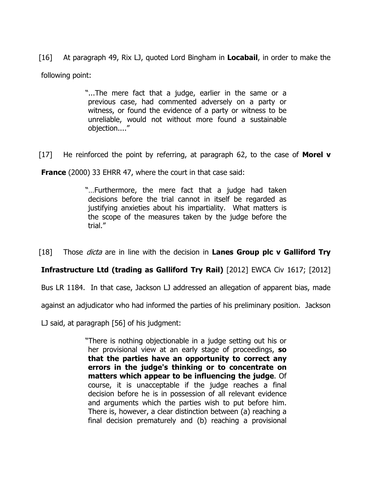[16] At paragraph 49, Rix LJ, quoted Lord Bingham in **Locabail**, in order to make the following point:

> "...The mere fact that a judge, earlier in the same or a previous case, had commented adversely on a party or witness, or found the evidence of a party or witness to be unreliable, would not without more found a sustainable objection...."

[17] He reinforced the point by referring, at paragraph 62, to the case of **Morel v** 

**France** (2000) 33 EHRR 47, where the court in that case said:

"…Furthermore, the mere fact that a judge had taken decisions before the trial cannot in itself be regarded as justifying anxieties about his impartiality. What matters is the scope of the measures taken by the judge before the trial."

[18] Those *dicta* are in line with the decision in **Lanes Group plc v Galliford Try** 

# Infrastructure Ltd (trading as Galliford Try Rail) [2012] EWCA Civ 1617; [2012]

Bus LR 1184. In that case, Jackson LJ addressed an allegation of apparent bias, made

against an adjudicator who had informed the parties of his preliminary position. Jackson

LJ said, at paragraph [56] of his judgment:

"There is nothing objectionable in a judge setting out his or her provisional view at an early stage of proceedings, so that the parties have an opportunity to correct any errors in the judge's thinking or to concentrate on matters which appear to be influencing the judge. Of course, it is unacceptable if the judge reaches a final decision before he is in possession of all relevant evidence and arguments which the parties wish to put before him. There is, however, a clear distinction between (a) reaching a final decision prematurely and (b) reaching a provisional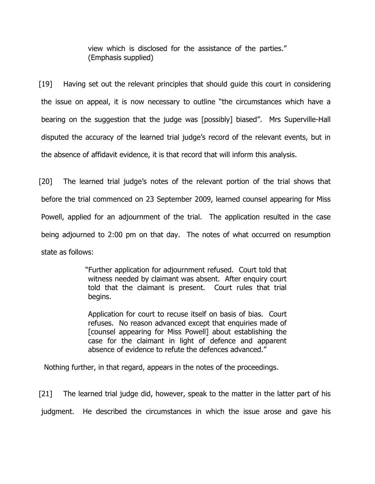view which is disclosed for the assistance of the parties." (Emphasis supplied)

[19] Having set out the relevant principles that should quide this court in considering the issue on appeal, it is now necessary to outline "the circumstances which have a bearing on the suggestion that the judge was [possibly] biased". Mrs Superville-Hall disputed the accuracy of the learned trial judge's record of the relevant events, but in the absence of affidavit evidence, it is that record that will inform this analysis.

[20] The learned trial judge's notes of the relevant portion of the trial shows that before the trial commenced on 23 September 2009, learned counsel appearing for Miss Powell, applied for an adjournment of the trial. The application resulted in the case being adjourned to 2:00 pm on that day. The notes of what occurred on resumption state as follows:

> "Further application for adjournment refused. Court told that witness needed by claimant was absent. After enquiry court told that the claimant is present. Court rules that trial begins.

Application for court to recuse itself on basis of bias. Court refuses. No reason advanced except that enquiries made of [counsel appearing for Miss Powell] about establishing the case for the claimant in light of defence and apparent absence of evidence to refute the defences advanced."

Nothing further, in that regard, appears in the notes of the proceedings.

[21] The learned trial judge did, however, speak to the matter in the latter part of his judgment. He described the circumstances in which the issue arose and gave his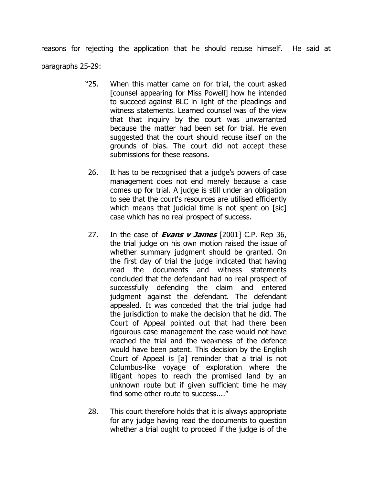reasons for rejecting the application that he should recuse himself. He said at paragraphs 25-29:

- "25. When this matter came on for trial, the court asked [counsel appearing for Miss Powell] how he intended to succeed against BLC in light of the pleadings and witness statements. Learned counsel was of the view that that inquiry by the court was unwarranted because the matter had been set for trial. He even suggested that the court should recuse itself on the grounds of bias. The court did not accept these submissions for these reasons.
- 26. It has to be recognised that a judge's powers of case management does not end merely because a case comes up for trial. A judge is still under an obligation to see that the court's resources are utilised efficiently which means that judicial time is not spent on [sic] case which has no real prospect of success.
- 27. In the case of **Evans v James** [2001] C.P. Rep 36, the trial judge on his own motion raised the issue of whether summary judgment should be granted. On the first day of trial the judge indicated that having read the documents and witness statements concluded that the defendant had no real prospect of successfully defending the claim and entered judgment against the defendant. The defendant appealed. It was conceded that the trial judge had the jurisdiction to make the decision that he did. The Court of Appeal pointed out that had there been rigourous case management the case would not have reached the trial and the weakness of the defence would have been patent. This decision by the English Court of Appeal is [a] reminder that a trial is not Columbus-like voyage of exploration where the litigant hopes to reach the promised land by an unknown route but if given sufficient time he may find some other route to success...."
- 28. This court therefore holds that it is always appropriate for any judge having read the documents to question whether a trial ought to proceed if the judge is of the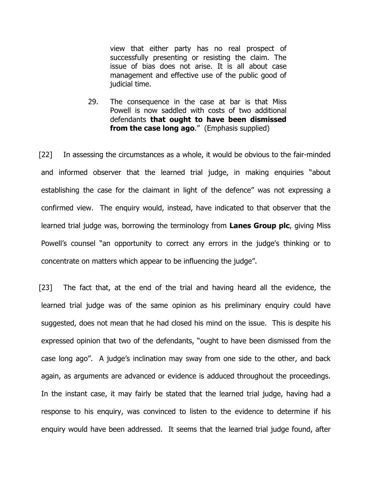view that either party has no real prospect of successfully presenting or resisting the claim. The issue of bias does not arise. It is all about case management and effective use of the public good of judicial time.

29. The consequence in the case at bar is that Miss Powell is now saddled with costs of two additional defendants that ought to have been dismissed from the case long ago." (Emphasis supplied)

[22] In assessing the circumstances as a whole, it would be obvious to the fair-minded and informed observer that the learned trial judge, in making enquiries "about establishing the case for the claimant in light of the defence" was not expressing a confirmed view. The enquiry would, instead, have indicated to that observer that the learned trial judge was, borrowing the terminology from Lanes Group plc, giving Miss Powell's counsel "an opportunity to correct any errors in the judge's thinking or to concentrate on matters which appear to be influencing the judge".

[23] The fact that, at the end of the trial and having heard all the evidence, the learned trial judge was of the same opinion as his preliminary enquiry could have suggested, does not mean that he had closed his mind on the issue. This is despite his expressed opinion that two of the defendants, "ought to have been dismissed from the case long ago". A judge's inclination may sway from one side to the other, and back again, as arguments are advanced or evidence is adduced throughout the proceedings. In the instant case, it may fairly be stated that the learned trial judge, having had a response to his enquiry, was convinced to listen to the evidence to determine if his enquiry would have been addressed. It seems that the learned trial judge found, after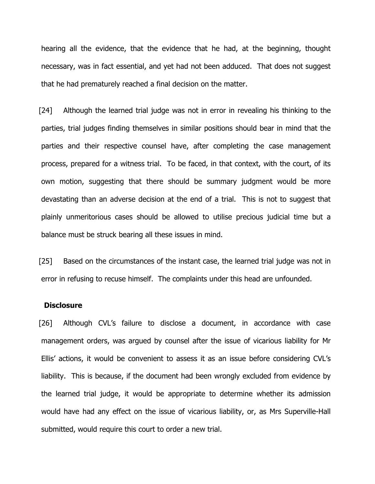hearing all the evidence, that the evidence that he had, at the beginning, thought necessary, was in fact essential, and yet had not been adduced. That does not suggest that he had prematurely reached a final decision on the matter.

[24] Although the learned trial judge was not in error in revealing his thinking to the parties, trial judges finding themselves in similar positions should bear in mind that the parties and their respective counsel have, after completing the case management process, prepared for a witness trial. To be faced, in that context, with the court, of its own motion, suggesting that there should be summary judgment would be more devastating than an adverse decision at the end of a trial. This is not to suggest that plainly unmeritorious cases should be allowed to utilise precious judicial time but a balance must be struck bearing all these issues in mind.

[25] Based on the circumstances of the instant case, the learned trial judge was not in error in refusing to recuse himself. The complaints under this head are unfounded.

#### **Disclosure**

[26] Although CVL's failure to disclose a document, in accordance with case management orders, was argued by counsel after the issue of vicarious liability for Mr Ellis' actions, it would be convenient to assess it as an issue before considering CVL's liability. This is because, if the document had been wrongly excluded from evidence by the learned trial judge, it would be appropriate to determine whether its admission would have had any effect on the issue of vicarious liability, or, as Mrs Superville-Hall submitted, would require this court to order a new trial.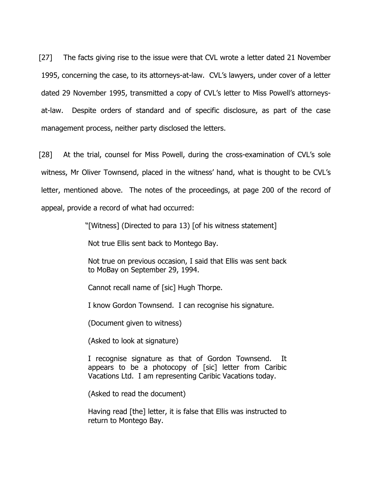[27] The facts giving rise to the issue were that CVL wrote a letter dated 21 November 1995, concerning the case, to its attorneys-at-law. CVL's lawyers, under cover of a letter dated 29 November 1995, transmitted a copy of CVL's letter to Miss Powell's attorneysat-law. Despite orders of standard and of specific disclosure, as part of the case management process, neither party disclosed the letters.

[28] At the trial, counsel for Miss Powell, during the cross-examination of CVL's sole witness, Mr Oliver Townsend, placed in the witness' hand, what is thought to be CVL's letter, mentioned above. The notes of the proceedings, at page 200 of the record of appeal, provide a record of what had occurred:

"[Witness] (Directed to para 13) [of his witness statement]

Not true Ellis sent back to Montego Bay.

Not true on previous occasion, I said that Ellis was sent back to MoBay on September 29, 1994.

Cannot recall name of [sic] Hugh Thorpe.

I know Gordon Townsend. I can recognise his signature.

(Document given to witness)

(Asked to look at signature)

I recognise signature as that of Gordon Townsend. It appears to be a photocopy of [sic] letter from Caribic Vacations Ltd. I am representing Caribic Vacations today.

(Asked to read the document)

Having read [the] letter, it is false that Ellis was instructed to return to Montego Bay.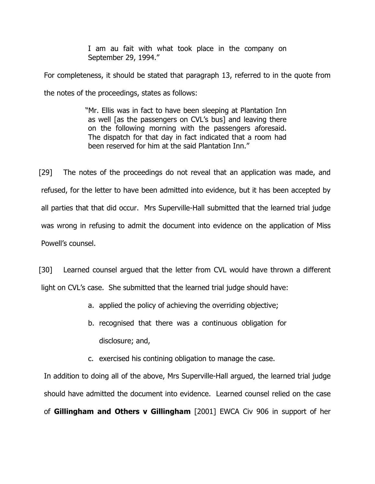I am au fait with what took place in the company on September 29, 1994."

For completeness, it should be stated that paragraph 13, referred to in the quote from the notes of the proceedings, states as follows:

> "Mr. Ellis was in fact to have been sleeping at Plantation Inn as well [as the passengers on CVL's bus] and leaving there on the following morning with the passengers aforesaid. The dispatch for that day in fact indicated that a room had been reserved for him at the said Plantation Inn."

[29] The notes of the proceedings do not reveal that an application was made, and refused, for the letter to have been admitted into evidence, but it has been accepted by all parties that that did occur. Mrs Superville-Hall submitted that the learned trial judge was wrong in refusing to admit the document into evidence on the application of Miss Powell's counsel.

[30] Learned counsel argued that the letter from CVL would have thrown a different light on CVL's case. She submitted that the learned trial judge should have:

- a. applied the policy of achieving the overriding objective;
- b. recognised that there was a continuous obligation for disclosure; and,
- c. exercised his contining obligation to manage the case.

In addition to doing all of the above, Mrs Superville-Hall argued, the learned trial judge should have admitted the document into evidence. Learned counsel relied on the case of Gillingham and Others v Gillingham [2001] EWCA Civ 906 in support of her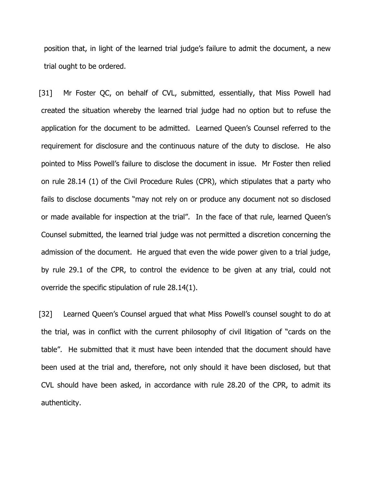position that, in light of the learned trial judge's failure to admit the document, a new trial ought to be ordered.

[31] Mr Foster QC, on behalf of CVL, submitted, essentially, that Miss Powell had created the situation whereby the learned trial judge had no option but to refuse the application for the document to be admitted. Learned Queen's Counsel referred to the requirement for disclosure and the continuous nature of the duty to disclose. He also pointed to Miss Powell's failure to disclose the document in issue. Mr Foster then relied on rule 28.14 (1) of the Civil Procedure Rules (CPR), which stipulates that a party who fails to disclose documents "may not rely on or produce any document not so disclosed or made available for inspection at the trial". In the face of that rule, learned Queen's Counsel submitted, the learned trial judge was not permitted a discretion concerning the admission of the document. He argued that even the wide power given to a trial judge, by rule 29.1 of the CPR, to control the evidence to be given at any trial, could not override the specific stipulation of rule 28.14(1).

[32] Learned Queen's Counsel argued that what Miss Powell's counsel sought to do at the trial, was in conflict with the current philosophy of civil litigation of "cards on the table". He submitted that it must have been intended that the document should have been used at the trial and, therefore, not only should it have been disclosed, but that CVL should have been asked, in accordance with rule 28.20 of the CPR, to admit its authenticity.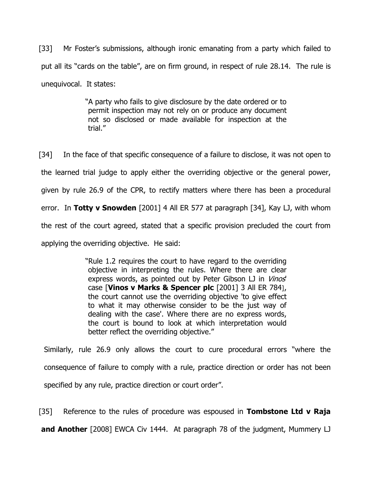[33] Mr Foster's submissions, although ironic emanating from a party which failed to put all its "cards on the table", are on firm ground, in respect of rule 28.14. The rule is unequivocal. It states:

> "A party who fails to give disclosure by the date ordered or to permit inspection may not rely on or produce any document not so disclosed or made available for inspection at the trial."

[34] In the face of that specific consequence of a failure to disclose, it was not open to the learned trial judge to apply either the overriding objective or the general power, given by rule 26.9 of the CPR, to rectify matters where there has been a procedural error. In Totty v Snowden [2001] 4 All ER 577 at paragraph [34], Kay LJ, with whom the rest of the court agreed, stated that a specific provision precluded the court from applying the overriding objective. He said:

> "Rule 1.2 requires the court to have regard to the overriding objective in interpreting the rules. Where there are clear express words, as pointed out by Peter Gibson LJ in Vinos case [Vinos v Marks & Spencer plc [2001] 3 All ER 784], the court cannot use the overriding objective 'to give effect to what it may otherwise consider to be the just way of dealing with the case'. Where there are no express words, the court is bound to look at which interpretation would better reflect the overriding objective."

Similarly, rule 26.9 only allows the court to cure procedural errors "where the consequence of failure to comply with a rule, practice direction or order has not been specified by any rule, practice direction or court order".

[35] Reference to the rules of procedure was espoused in **Tombstone Ltd v Raja** and Another [2008] EWCA Civ 1444. At paragraph 78 of the judgment, Mummery LJ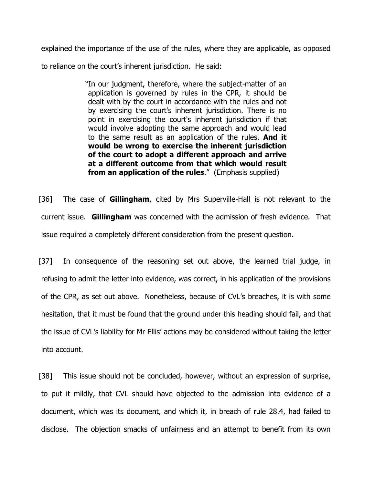explained the importance of the use of the rules, where they are applicable, as opposed

to reliance on the court's inherent jurisdiction. He said:

"In our judgment, therefore, where the subject-matter of an application is governed by rules in the CPR, it should be dealt with by the court in accordance with the rules and not by exercising the court's inherent jurisdiction. There is no point in exercising the court's inherent jurisdiction if that would involve adopting the same approach and would lead to the same result as an application of the rules. And it would be wrong to exercise the inherent jurisdiction of the court to adopt a different approach and arrive at a different outcome from that which would result from an application of the rules." (Emphasis supplied)

[36] The case of **Gillingham**, cited by Mrs Superville-Hall is not relevant to the current issue. Gillingham was concerned with the admission of fresh evidence. That issue required a completely different consideration from the present question.

[37] In consequence of the reasoning set out above, the learned trial judge, in refusing to admit the letter into evidence, was correct, in his application of the provisions of the CPR, as set out above. Nonetheless, because of CVL's breaches, it is with some hesitation, that it must be found that the ground under this heading should fail, and that the issue of CVL's liability for Mr Ellis' actions may be considered without taking the letter into account.

[38] This issue should not be concluded, however, without an expression of surprise, to put it mildly, that CVL should have objected to the admission into evidence of a document, which was its document, and which it, in breach of rule 28.4, had failed to disclose. The objection smacks of unfairness and an attempt to benefit from its own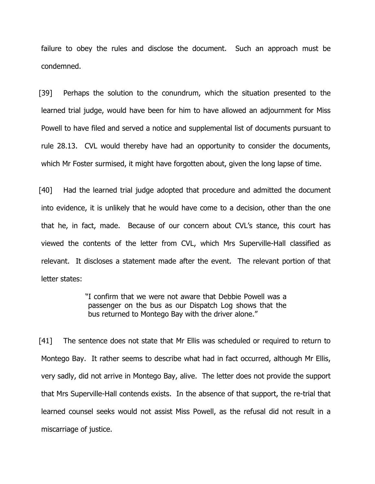failure to obey the rules and disclose the document. Such an approach must be condemned.

[39] Perhaps the solution to the conundrum, which the situation presented to the learned trial judge, would have been for him to have allowed an adjournment for Miss Powell to have filed and served a notice and supplemental list of documents pursuant to rule 28.13. CVL would thereby have had an opportunity to consider the documents, which Mr Foster surmised, it might have forgotten about, given the long lapse of time.

[40] Had the learned trial judge adopted that procedure and admitted the document into evidence, it is unlikely that he would have come to a decision, other than the one that he, in fact, made. Because of our concern about CVL's stance, this court has viewed the contents of the letter from CVL, which Mrs Superville-Hall classified as relevant. It discloses a statement made after the event. The relevant portion of that letter states:

> "I confirm that we were not aware that Debbie Powell was a passenger on the bus as our Dispatch Log shows that the bus returned to Montego Bay with the driver alone."

[41] The sentence does not state that Mr Ellis was scheduled or required to return to Montego Bay. It rather seems to describe what had in fact occurred, although Mr Ellis, very sadly, did not arrive in Montego Bay, alive. The letter does not provide the support that Mrs Superville-Hall contends exists. In the absence of that support, the re-trial that learned counsel seeks would not assist Miss Powell, as the refusal did not result in a miscarriage of justice.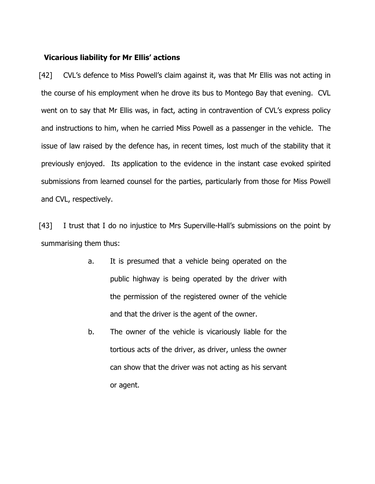### Vicarious liability for Mr Ellis' actions

[42] CVL's defence to Miss Powell's claim against it, was that Mr Ellis was not acting in the course of his employment when he drove its bus to Montego Bay that evening. CVL went on to say that Mr Ellis was, in fact, acting in contravention of CVL's express policy and instructions to him, when he carried Miss Powell as a passenger in the vehicle. The issue of law raised by the defence has, in recent times, lost much of the stability that it previously enjoyed. Its application to the evidence in the instant case evoked spirited submissions from learned counsel for the parties, particularly from those for Miss Powell and CVL, respectively.

[43] I trust that I do no injustice to Mrs Superville-Hall's submissions on the point by summarising them thus:

- a. It is presumed that a vehicle being operated on the public highway is being operated by the driver with the permission of the registered owner of the vehicle and that the driver is the agent of the owner.
- b. The owner of the vehicle is vicariously liable for the tortious acts of the driver, as driver, unless the owner can show that the driver was not acting as his servant or agent.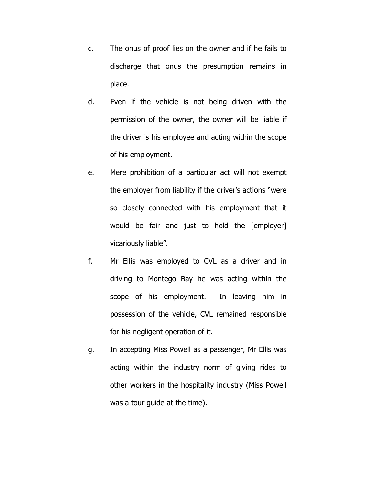- c. The onus of proof lies on the owner and if he fails to discharge that onus the presumption remains in place.
- d. Even if the vehicle is not being driven with the permission of the owner, the owner will be liable if the driver is his employee and acting within the scope of his employment.
- e. Mere prohibition of a particular act will not exempt the employer from liability if the driver's actions "were so closely connected with his employment that it would be fair and just to hold the [employer] vicariously liable".
- f. Mr Ellis was employed to CVL as a driver and in driving to Montego Bay he was acting within the scope of his employment. In leaving him in possession of the vehicle, CVL remained responsible for his negligent operation of it.
- g. In accepting Miss Powell as a passenger, Mr Ellis was acting within the industry norm of giving rides to other workers in the hospitality industry (Miss Powell was a tour guide at the time).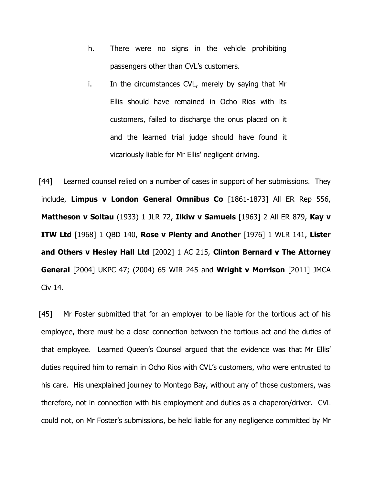- h. There were no signs in the vehicle prohibiting passengers other than CVL's customers.
- i. In the circumstances CVL, merely by saying that Mr Ellis should have remained in Ocho Rios with its customers, failed to discharge the onus placed on it and the learned trial judge should have found it vicariously liable for Mr Ellis' negligent driving.

[44] Learned counsel relied on a number of cases in support of her submissions. They include, Limpus v London General Omnibus Co [1861-1873] All ER Rep 556, Mattheson v Soltau (1933) 1 JLR 72, Ilkiw v Samuels [1963] 2 All ER 879, Kay v ITW Ltd [1968] 1 QBD 140, Rose v Plenty and Another [1976] 1 WLR 141, Lister and Others v Hesley Hall Ltd [2002] 1 AC 215, Clinton Bernard v The Attorney **General** [2004] UKPC 47; (2004) 65 WIR 245 and **Wright v Morrison** [2011] JMCA Civ 14.

[45] Mr Foster submitted that for an employer to be liable for the tortious act of his employee, there must be a close connection between the tortious act and the duties of that employee. Learned Queen's Counsel argued that the evidence was that Mr Ellis' duties required him to remain in Ocho Rios with CVL's customers, who were entrusted to his care. His unexplained journey to Montego Bay, without any of those customers, was therefore, not in connection with his employment and duties as a chaperon/driver. CVL could not, on Mr Foster's submissions, be held liable for any negligence committed by Mr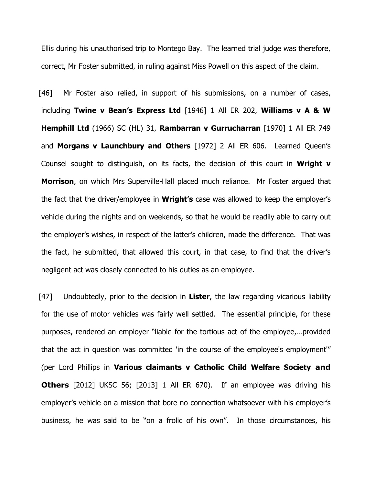Ellis during his unauthorised trip to Montego Bay. The learned trial judge was therefore, correct, Mr Foster submitted, in ruling against Miss Powell on this aspect of the claim.

[46] Mr Foster also relied, in support of his submissions, on a number of cases, including Twine v Bean's Express Ltd [1946] 1 All ER 202, Williams v A & W Hemphill Ltd (1966) SC (HL) 31, Rambarran v Gurrucharran [1970] 1 All ER 749 and Morgans v Launchbury and Others [1972] 2 All ER 606. Learned Queen's Counsel sought to distinguish, on its facts, the decision of this court in Wright  $v$ **Morrison**, on which Mrs Superville-Hall placed much reliance. Mr Foster argued that the fact that the driver/employee in **Wright's** case was allowed to keep the employer's vehicle during the nights and on weekends, so that he would be readily able to carry out the employer's wishes, in respect of the latter's children, made the difference. That was the fact, he submitted, that allowed this court, in that case, to find that the driver's negligent act was closely connected to his duties as an employee.

 $[47]$  Undoubtedly, prior to the decision in Lister, the law regarding vicarious liability for the use of motor vehicles was fairly well settled. The essential principle, for these purposes, rendered an employer "liable for the tortious act of the employee,…provided that the act in question was committed 'in the course of the employee's employment'" (per Lord Phillips in Various claimants v Catholic Child Welfare Society and **Others** [2012] UKSC 56; [2013] 1 All ER 670). If an employee was driving his employer's vehicle on a mission that bore no connection whatsoever with his employer's business, he was said to be "on a frolic of his own". In those circumstances, his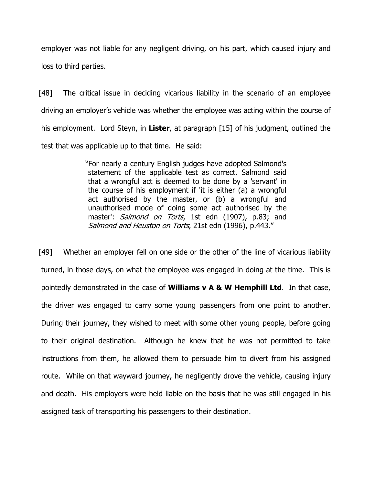employer was not liable for any negligent driving, on his part, which caused injury and loss to third parties.

[48] The critical issue in deciding vicarious liability in the scenario of an employee driving an employer's vehicle was whether the employee was acting within the course of his employment. Lord Steyn, in Lister, at paragraph [15] of his judgment, outlined the test that was applicable up to that time. He said:

> "For nearly a century English judges have adopted Salmond's statement of the applicable test as correct. Salmond said that a wrongful act is deemed to be done by a 'servant' in the course of his employment if 'it is either (a) a wrongful act authorised by the master, or (b) a wrongful and unauthorised mode of doing some act authorised by the master': Salmond on Torts, 1st edn (1907), p.83; and Salmond and Heuston on Torts, 21st edn (1996), p.443."

[49] Whether an employer fell on one side or the other of the line of vicarious liability turned, in those days, on what the employee was engaged in doing at the time. This is pointedly demonstrated in the case of **Williams**  $v$  **A & W Hemphill Ltd**. In that case, the driver was engaged to carry some young passengers from one point to another. During their journey, they wished to meet with some other young people, before going to their original destination. Although he knew that he was not permitted to take instructions from them, he allowed them to persuade him to divert from his assigned route. While on that wayward journey, he negligently drove the vehicle, causing injury and death. His employers were held liable on the basis that he was still engaged in his assigned task of transporting his passengers to their destination.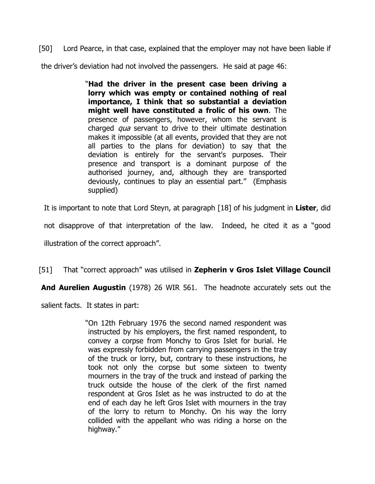[50] Lord Pearce, in that case, explained that the employer may not have been liable if the driver's deviation had not involved the passengers. He said at page 46:

> "Had the driver in the present case been driving a lorry which was empty or contained nothing of real importance, I think that so substantial a deviation might well have constituted a frolic of his own. The presence of passengers, however, whom the servant is charged *qua* servant to drive to their ultimate destination makes it impossible (at all events, provided that they are not all parties to the plans for deviation) to say that the deviation is entirely for the servant's purposes. Their presence and transport is a dominant purpose of the authorised journey, and, although they are transported deviously, continues to play an essential part." (Emphasis supplied)

It is important to note that Lord Steyn, at paragraph [18] of his judgment in Lister, did

not disapprove of that interpretation of the law. Indeed, he cited it as a "good

illustration of the correct approach".

## [51] That "correct approach" was utilised in Zepherin v Gros Islet Village Council

And Aurelien Augustin (1978) 26 WIR 561. The headnote accurately sets out the

salient facts. It states in part:

"On 12th February 1976 the second named respondent was instructed by his employers, the first named respondent, to convey a corpse from Monchy to Gros Islet for burial. He was expressly forbidden from carrying passengers in the tray of the truck or lorry, but, contrary to these instructions, he took not only the corpse but some sixteen to twenty mourners in the tray of the truck and instead of parking the truck outside the house of the clerk of the first named respondent at Gros Islet as he was instructed to do at the end of each day he left Gros Islet with mourners in the tray of the lorry to return to Monchy. On his way the lorry collided with the appellant who was riding a horse on the highway."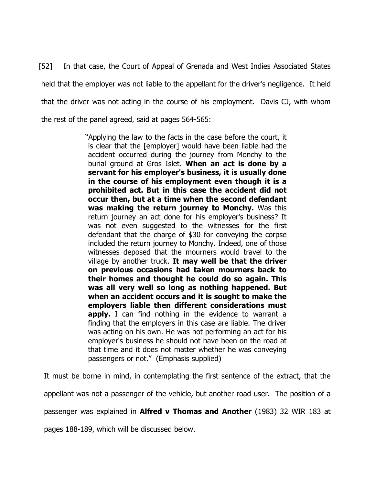[52] In that case, the Court of Appeal of Grenada and West Indies Associated States held that the employer was not liable to the appellant for the driver's negligence. It held that the driver was not acting in the course of his employment. Davis CJ, with whom the rest of the panel agreed, said at pages 564-565:

> "Applying the law to the facts in the case before the court, it is clear that the [employer] would have been liable had the accident occurred during the journey from Monchy to the burial ground at Gros Islet. When an act is done by a servant for his employer's business, it is usually done in the course of his employment even though it is a prohibited act. But in this case the accident did not occur then, but at a time when the second defendant was making the return journey to Monchy. Was this return journey an act done for his employer's business? It was not even suggested to the witnesses for the first defendant that the charge of \$30 for conveying the corpse included the return journey to Monchy. Indeed, one of those witnesses deposed that the mourners would travel to the village by another truck. It may well be that the driver on previous occasions had taken mourners back to their homes and thought he could do so again. This was all very well so long as nothing happened. But when an accident occurs and it is sought to make the employers liable then different considerations must **apply.** I can find nothing in the evidence to warrant a finding that the employers in this case are liable. The driver was acting on his own. He was not performing an act for his employer's business he should not have been on the road at that time and it does not matter whether he was conveying passengers or not." (Emphasis supplied)

It must be borne in mind, in contemplating the first sentence of the extract, that the appellant was not a passenger of the vehicle, but another road user. The position of a passenger was explained in **Alfred v Thomas and Another** (1983) 32 WIR 183 at pages 188-189, which will be discussed below.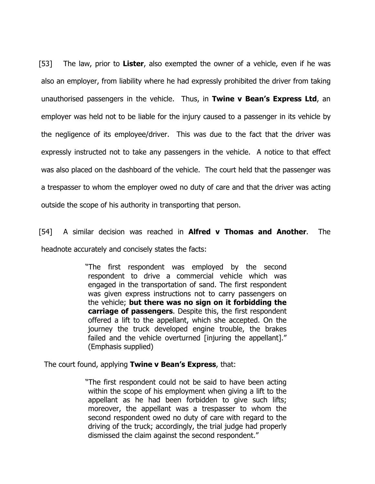[53] The law, prior to Lister, also exempted the owner of a vehicle, even if he was also an employer, from liability where he had expressly prohibited the driver from taking unauthorised passengers in the vehicle. Thus, in Twine v Bean's Express Ltd, an employer was held not to be liable for the injury caused to a passenger in its vehicle by the negligence of its employee/driver. This was due to the fact that the driver was expressly instructed not to take any passengers in the vehicle. A notice to that effect was also placed on the dashboard of the vehicle. The court held that the passenger was a trespasser to whom the employer owed no duty of care and that the driver was acting outside the scope of his authority in transporting that person.

[54] A similar decision was reached in **Alfred v Thomas and Another**. The headnote accurately and concisely states the facts:

> "The first respondent was employed by the second respondent to drive a commercial vehicle which was engaged in the transportation of sand. The first respondent was given express instructions not to carry passengers on the vehicle; but there was no sign on it forbidding the carriage of passengers. Despite this, the first respondent offered a lift to the appellant, which she accepted. On the journey the truck developed engine trouble, the brakes failed and the vehicle overturned [injuring the appellant]." (Emphasis supplied)

The court found, applying Twine v Bean's Express, that:

"The first respondent could not be said to have been acting within the scope of his employment when giving a lift to the appellant as he had been forbidden to give such lifts; moreover, the appellant was a trespasser to whom the second respondent owed no duty of care with regard to the driving of the truck; accordingly, the trial judge had properly dismissed the claim against the second respondent."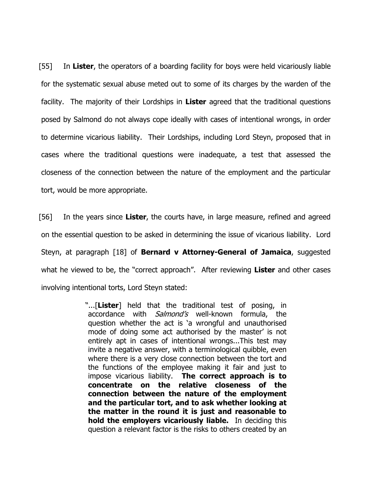[55] In Lister, the operators of a boarding facility for boys were held vicariously liable for the systematic sexual abuse meted out to some of its charges by the warden of the facility. The majority of their Lordships in Lister agreed that the traditional questions posed by Salmond do not always cope ideally with cases of intentional wrongs, in order to determine vicarious liability. Their Lordships, including Lord Steyn, proposed that in cases where the traditional questions were inadequate, a test that assessed the closeness of the connection between the nature of the employment and the particular tort, would be more appropriate.

[56] In the years since Lister, the courts have, in large measure, refined and agreed on the essential question to be asked in determining the issue of vicarious liability. Lord Steyn, at paragraph [18] of **Bernard v Attorney-General of Jamaica**, suggested what he viewed to be, the "correct approach". After reviewing Lister and other cases involving intentional torts, Lord Steyn stated:

> "...[Lister] held that the traditional test of posing, in accordance with *Salmond's* well-known formula, the question whether the act is 'a wrongful and unauthorised mode of doing some act authorised by the master' is not entirely apt in cases of intentional wrongs...This test may invite a negative answer, with a terminological quibble, even where there is a very close connection between the tort and the functions of the employee making it fair and just to impose vicarious liability. The correct approach is to concentrate on the relative closeness of the connection between the nature of the employment and the particular tort, and to ask whether looking at the matter in the round it is just and reasonable to hold the employers vicariously liable. In deciding this question a relevant factor is the risks to others created by an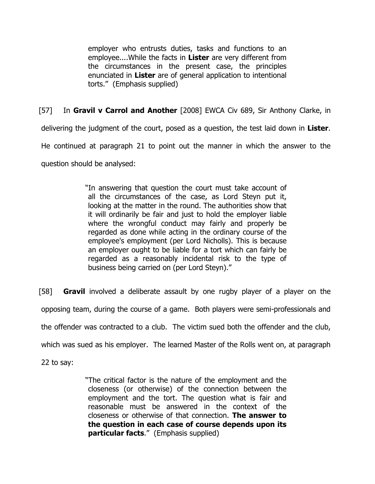employer who entrusts duties, tasks and functions to an employee....While the facts in Lister are very different from the circumstances in the present case, the principles enunciated in Lister are of general application to intentional torts." (Emphasis supplied)

[57] In Gravil v Carrol and Another [2008] EWCA Civ 689, Sir Anthony Clarke, in

delivering the judgment of the court, posed as a question, the test laid down in Lister.

He continued at paragraph 21 to point out the manner in which the answer to the

question should be analysed:

"In answering that question the court must take account of all the circumstances of the case, as Lord Steyn put it, looking at the matter in the round. The authorities show that it will ordinarily be fair and just to hold the employer liable where the wrongful conduct may fairly and properly be regarded as done while acting in the ordinary course of the employee's employment (per Lord Nicholls). This is because an employer ought to be liable for a tort which can fairly be regarded as a reasonably incidental risk to the type of business being carried on (per Lord Steyn)."

[58] **Gravil** involved a deliberate assault by one rugby player of a player on the opposing team, during the course of a game. Both players were semi-professionals and the offender was contracted to a club. The victim sued both the offender and the club, which was sued as his employer. The learned Master of the Rolls went on, at paragraph

22 to say:

"The critical factor is the nature of the employment and the closeness (or otherwise) of the connection between the employment and the tort. The question what is fair and reasonable must be answered in the context of the closeness or otherwise of that connection. The answer to the question in each case of course depends upon its particular facts." (Emphasis supplied)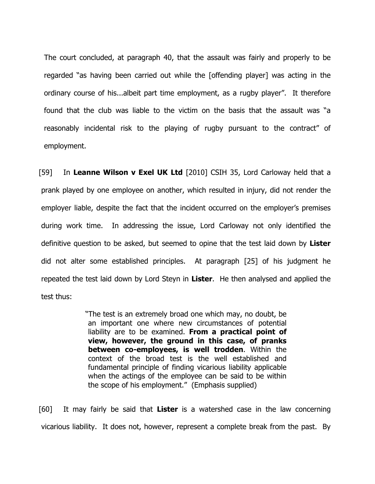The court concluded, at paragraph 40, that the assault was fairly and properly to be regarded "as having been carried out while the [offending player] was acting in the ordinary course of his...albeit part time employment, as a rugby player". It therefore found that the club was liable to the victim on the basis that the assault was "a reasonably incidental risk to the playing of rugby pursuant to the contract" of employment.

[59] In Leanne Wilson v Exel UK Ltd [2010] CSIH 35, Lord Carloway held that a prank played by one employee on another, which resulted in injury, did not render the employer liable, despite the fact that the incident occurred on the employer's premises during work time. In addressing the issue, Lord Carloway not only identified the definitive question to be asked, but seemed to opine that the test laid down by Lister did not alter some established principles. At paragraph [25] of his judgment he repeated the test laid down by Lord Steyn in Lister. He then analysed and applied the test thus:

> "The test is an extremely broad one which may, no doubt, be an important one where new circumstances of potential liability are to be examined. From a practical point of view, however, the ground in this case, of pranks between co-employees, is well trodden. Within the context of the broad test is the well established and fundamental principle of finding vicarious liability applicable when the actings of the employee can be said to be within the scope of his employment." (Emphasis supplied)

 $[60]$  It may fairly be said that Lister is a watershed case in the law concerning vicarious liability. It does not, however, represent a complete break from the past. By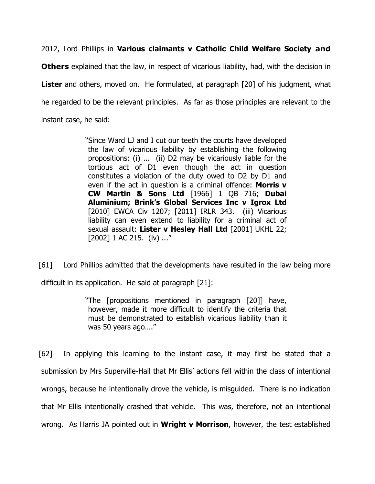2012, Lord Phillips in Various claimants v Catholic Child Welfare Society and

**Others** explained that the law, in respect of vicarious liability, had, with the decision in **Lister** and others, moved on. He formulated, at paragraph [20] of his judgment, what he regarded to be the relevant principles. As far as those principles are relevant to the instant case, he said:

> "Since Ward LJ and I cut our teeth the courts have developed the law of vicarious liability by establishing the following propositions: (i) ... (ii) D2 may be vicariously liable for the tortious act of D1 even though the act in question constitutes a violation of the duty owed to D2 by D1 and even if the act in question is a criminal offence: Morris v CW Martin & Sons Ltd [1966] 1 QB 716; Dubai Aluminium; Brink's Global Services Inc v Igrox Ltd [2010] EWCA Civ 1207; [2011] IRLR 343. (iii) Vicarious liability can even extend to liability for a criminal act of sexual assault: Lister v Hesley Hall Ltd [2001] UKHL 22; [2002] 1 AC 215. (iv) ..."

[61] Lord Phillips admitted that the developments have resulted in the law being more difficult in its application. He said at paragraph [21]:

> "The [propositions mentioned in paragraph [20]] have, however, made it more difficult to identify the criteria that must be demonstrated to establish vicarious liability than it was 50 years ago…."

[62] In applying this learning to the instant case, it may first be stated that a submission by Mrs Superville-Hall that Mr Ellis' actions fell within the class of intentional wrongs, because he intentionally drove the vehicle, is misguided. There is no indication that Mr Ellis intentionally crashed that vehicle. This was, therefore, not an intentional wrong. As Harris JA pointed out in **Wright v Morrison**, however, the test established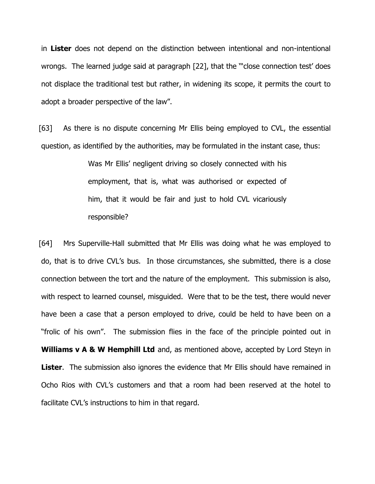in Lister does not depend on the distinction between intentional and non-intentional wrongs. The learned judge said at paragraph [22], that the '"close connection test' does not displace the traditional test but rather, in widening its scope, it permits the court to adopt a broader perspective of the law".

[63] As there is no dispute concerning Mr Ellis being employed to CVL, the essential question, as identified by the authorities, may be formulated in the instant case, thus:

> Was Mr Ellis' negligent driving so closely connected with his employment, that is, what was authorised or expected of him, that it would be fair and just to hold CVL vicariously responsible?

[64] Mrs Superville-Hall submitted that Mr Ellis was doing what he was employed to do, that is to drive CVL's bus. In those circumstances, she submitted, there is a close connection between the tort and the nature of the employment. This submission is also, with respect to learned counsel, misguided. Were that to be the test, there would never have been a case that a person employed to drive, could be held to have been on a "frolic of his own". The submission flies in the face of the principle pointed out in Williams v A & W Hemphill Ltd and, as mentioned above, accepted by Lord Steyn in **Lister.** The submission also ignores the evidence that Mr Ellis should have remained in Ocho Rios with CVL's customers and that a room had been reserved at the hotel to facilitate CVL's instructions to him in that regard.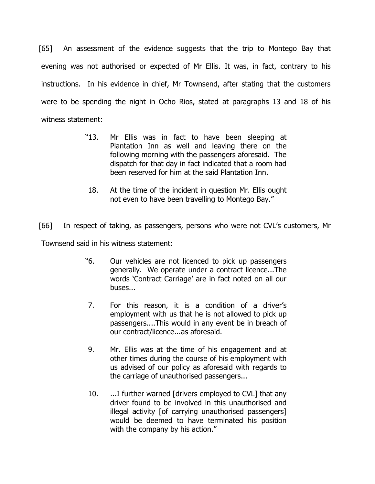[65] An assessment of the evidence suggests that the trip to Montego Bay that evening was not authorised or expected of Mr Ellis. It was, in fact, contrary to his instructions. In his evidence in chief, Mr Townsend, after stating that the customers were to be spending the night in Ocho Rios, stated at paragraphs 13 and 18 of his witness statement:

- "13. Mr Ellis was in fact to have been sleeping at Plantation Inn as well and leaving there on the following morning with the passengers aforesaid. The dispatch for that day in fact indicated that a room had been reserved for him at the said Plantation Inn.
- 18. At the time of the incident in question Mr. Ellis ought not even to have been travelling to Montego Bay."

[66] In respect of taking, as passengers, persons who were not CVL's customers, Mr

Townsend said in his witness statement:

- "6. Our vehicles are not licenced to pick up passengers generally. We operate under a contract licence...The words 'Contract Carriage' are in fact noted on all our buses...
- 7. For this reason, it is a condition of a driver's employment with us that he is not allowed to pick up passengers....This would in any event be in breach of our contract/licence...as aforesaid.
- 9. Mr. Ellis was at the time of his engagement and at other times during the course of his employment with us advised of our policy as aforesaid with regards to the carriage of unauthorised passengers...
- 10. ...I further warned [drivers employed to CVL] that any driver found to be involved in this unauthorised and illegal activity [of carrying unauthorised passengers] would be deemed to have terminated his position with the company by his action."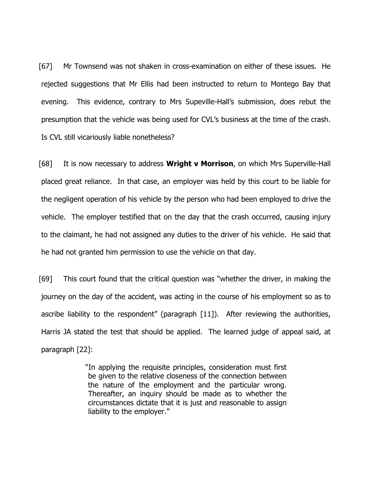[67] Mr Townsend was not shaken in cross-examination on either of these issues. He rejected suggestions that Mr Ellis had been instructed to return to Montego Bay that evening. This evidence, contrary to Mrs Supeville-Hall's submission, does rebut the presumption that the vehicle was being used for CVL's business at the time of the crash. Is CVL still vicariously liable nonetheless?

[68] It is now necessary to address **Wright v Morrison**, on which Mrs Superville-Hall placed great reliance. In that case, an employer was held by this court to be liable for the negligent operation of his vehicle by the person who had been employed to drive the vehicle. The employer testified that on the day that the crash occurred, causing injury to the claimant, he had not assigned any duties to the driver of his vehicle. He said that he had not granted him permission to use the vehicle on that day.

[69] This court found that the critical question was "whether the driver, in making the journey on the day of the accident, was acting in the course of his employment so as to ascribe liability to the respondent" (paragraph [11]). After reviewing the authorities, Harris JA stated the test that should be applied. The learned judge of appeal said, at paragraph [22]:

> "In applying the requisite principles, consideration must first be given to the relative closeness of the connection between the nature of the employment and the particular wrong. Thereafter, an inquiry should be made as to whether the circumstances dictate that it is just and reasonable to assign liability to the employer."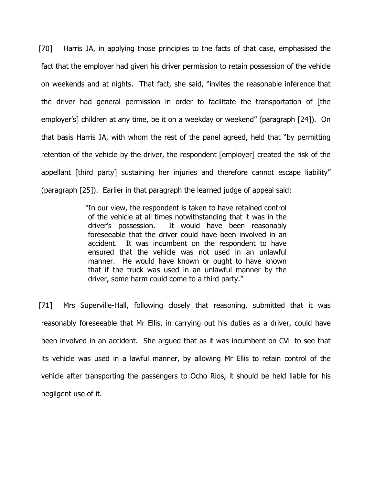[70] Harris JA, in applying those principles to the facts of that case, emphasised the fact that the employer had given his driver permission to retain possession of the vehicle on weekends and at nights. That fact, she said, "invites the reasonable inference that the driver had general permission in order to facilitate the transportation of [the employer's] children at any time, be it on a weekday or weekend" (paragraph [24]). On that basis Harris JA, with whom the rest of the panel agreed, held that "by permitting retention of the vehicle by the driver, the respondent [employer] created the risk of the appellant [third party] sustaining her injuries and therefore cannot escape liability" (paragraph [25]). Earlier in that paragraph the learned judge of appeal said:

> "In our view, the respondent is taken to have retained control of the vehicle at all times notwithstanding that it was in the driver's possession. It would have been reasonably foreseeable that the driver could have been involved in an accident. It was incumbent on the respondent to have ensured that the vehicle was not used in an unlawful manner. He would have known or ought to have known that if the truck was used in an unlawful manner by the driver, some harm could come to a third party."

[71] Mrs Superville-Hall, following closely that reasoning, submitted that it was reasonably foreseeable that Mr Ellis, in carrying out his duties as a driver, could have been involved in an accident. She argued that as it was incumbent on CVL to see that its vehicle was used in a lawful manner, by allowing Mr Ellis to retain control of the vehicle after transporting the passengers to Ocho Rios, it should be held liable for his negligent use of it.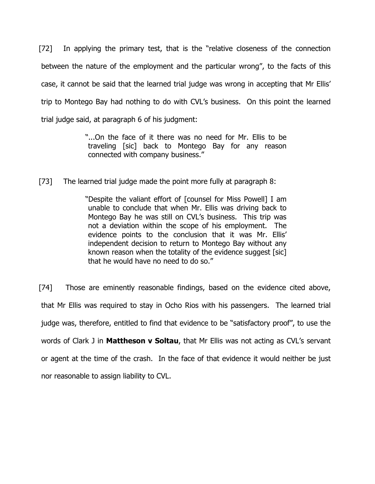[72] In applying the primary test, that is the "relative closeness of the connection between the nature of the employment and the particular wrong", to the facts of this case, it cannot be said that the learned trial judge was wrong in accepting that Mr Ellis' trip to Montego Bay had nothing to do with CVL's business. On this point the learned trial judge said, at paragraph 6 of his judgment:

> "...On the face of it there was no need for Mr. Ellis to be traveling [sic] back to Montego Bay for any reason connected with company business."

[73] The learned trial judge made the point more fully at paragraph 8:

"Despite the valiant effort of [counsel for Miss Powell] I am unable to conclude that when Mr. Ellis was driving back to Montego Bay he was still on CVL's business. This trip was not a deviation within the scope of his employment. The evidence points to the conclusion that it was Mr. Ellis' independent decision to return to Montego Bay without any known reason when the totality of the evidence suggest [sic] that he would have no need to do so."

[74] Those are eminently reasonable findings, based on the evidence cited above, that Mr Ellis was required to stay in Ocho Rios with his passengers. The learned trial judge was, therefore, entitled to find that evidence to be "satisfactory proof", to use the words of Clark J in Mattheson v Soltau, that Mr Ellis was not acting as CVL's servant or agent at the time of the crash. In the face of that evidence it would neither be just nor reasonable to assign liability to CVL.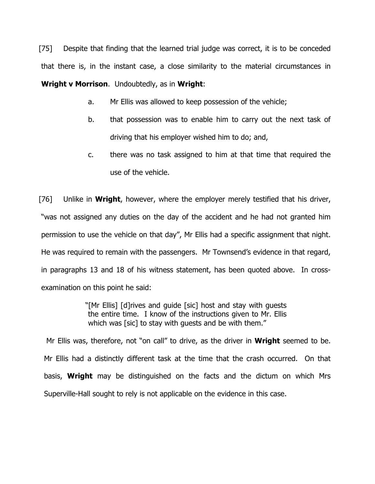[75] Despite that finding that the learned trial judge was correct, it is to be conceded that there is, in the instant case, a close similarity to the material circumstances in Wright v Morrison. Undoubtedly, as in Wright:

- a. Mr Ellis was allowed to keep possession of the vehicle;
- b. that possession was to enable him to carry out the next task of driving that his employer wished him to do; and,
- c. there was no task assigned to him at that time that required the use of the vehicle.

[76] Unlike in **Wright**, however, where the employer merely testified that his driver, "was not assigned any duties on the day of the accident and he had not granted him permission to use the vehicle on that day", Mr Ellis had a specific assignment that night. He was required to remain with the passengers. Mr Townsend's evidence in that regard, in paragraphs 13 and 18 of his witness statement, has been quoted above. In crossexamination on this point he said:

> "[Mr Ellis] [d]rives and guide [sic] host and stay with guests the entire time. I know of the instructions given to Mr. Ellis which was [sic] to stay with quests and be with them."

Mr Ellis was, therefore, not "on call" to drive, as the driver in **Wright** seemed to be. Mr Ellis had a distinctly different task at the time that the crash occurred. On that basis, **Wright** may be distinguished on the facts and the dictum on which Mrs Superville-Hall sought to rely is not applicable on the evidence in this case.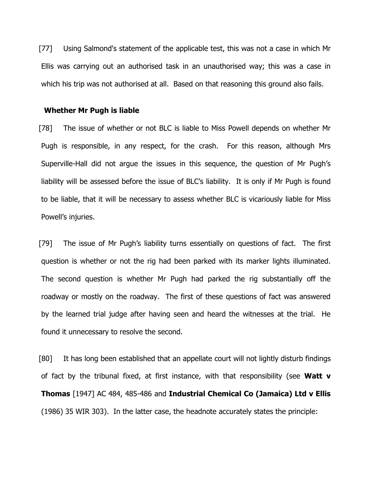[77] Using Salmond's statement of the applicable test, this was not a case in which Mr Ellis was carrying out an authorised task in an unauthorised way; this was a case in which his trip was not authorised at all. Based on that reasoning this ground also fails.

#### Whether Mr Pugh is liable

[78] The issue of whether or not BLC is liable to Miss Powell depends on whether Mr Pugh is responsible, in any respect, for the crash. For this reason, although Mrs Superville-Hall did not argue the issues in this sequence, the question of Mr Pugh's liability will be assessed before the issue of BLC's liability. It is only if Mr Pugh is found to be liable, that it will be necessary to assess whether BLC is vicariously liable for Miss Powell's injuries.

[79] The issue of Mr Pugh's liability turns essentially on questions of fact. The first question is whether or not the rig had been parked with its marker lights illuminated. The second question is whether Mr Pugh had parked the rig substantially off the roadway or mostly on the roadway. The first of these questions of fact was answered by the learned trial judge after having seen and heard the witnesses at the trial. He found it unnecessary to resolve the second.

[80] It has long been established that an appellate court will not lightly disturb findings of fact by the tribunal fixed, at first instance, with that responsibility (see **Watt v** Thomas [1947] AC 484, 485-486 and Industrial Chemical Co (Jamaica) Ltd v Ellis (1986) 35 WIR 303). In the latter case, the headnote accurately states the principle: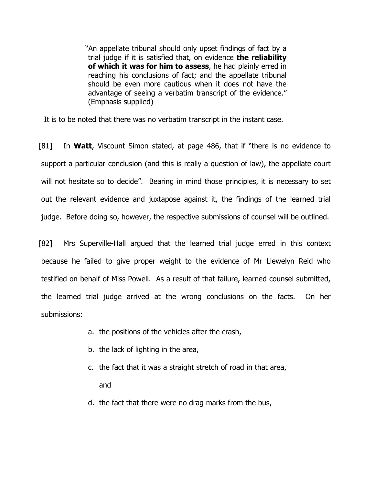"An appellate tribunal should only upset findings of fact by a trial judge if it is satisfied that, on evidence the reliability of which it was for him to assess, he had plainly erred in reaching his conclusions of fact; and the appellate tribunal should be even more cautious when it does not have the advantage of seeing a verbatim transcript of the evidence." (Emphasis supplied)

It is to be noted that there was no verbatim transcript in the instant case.

[81] In Watt, Viscount Simon stated, at page 486, that if "there is no evidence to support a particular conclusion (and this is really a question of law), the appellate court will not hesitate so to decide". Bearing in mind those principles, it is necessary to set out the relevant evidence and juxtapose against it, the findings of the learned trial judge. Before doing so, however, the respective submissions of counsel will be outlined.

[82] Mrs Superville-Hall argued that the learned trial judge erred in this context because he failed to give proper weight to the evidence of Mr Llewelyn Reid who testified on behalf of Miss Powell. As a result of that failure, learned counsel submitted, the learned trial judge arrived at the wrong conclusions on the facts. On her submissions:

- a. the positions of the vehicles after the crash,
- b. the lack of lighting in the area,
- c. the fact that it was a straight stretch of road in that area, and
- d. the fact that there were no drag marks from the bus,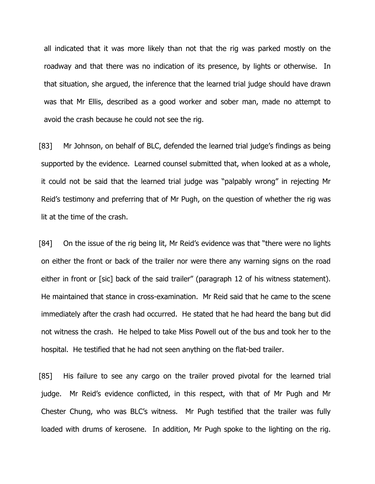all indicated that it was more likely than not that the rig was parked mostly on the roadway and that there was no indication of its presence, by lights or otherwise. In that situation, she argued, the inference that the learned trial judge should have drawn was that Mr Ellis, described as a good worker and sober man, made no attempt to avoid the crash because he could not see the rig.

[83] Mr Johnson, on behalf of BLC, defended the learned trial judge's findings as being supported by the evidence. Learned counsel submitted that, when looked at as a whole, it could not be said that the learned trial judge was "palpably wrong" in rejecting Mr Reid's testimony and preferring that of Mr Pugh, on the question of whether the rig was lit at the time of the crash.

[84] On the issue of the rig being lit, Mr Reid's evidence was that "there were no lights on either the front or back of the trailer nor were there any warning signs on the road either in front or [sic] back of the said trailer" (paragraph 12 of his witness statement). He maintained that stance in cross-examination. Mr Reid said that he came to the scene immediately after the crash had occurred. He stated that he had heard the bang but did not witness the crash. He helped to take Miss Powell out of the bus and took her to the hospital. He testified that he had not seen anything on the flat-bed trailer.

[85] His failure to see any cargo on the trailer proved pivotal for the learned trial judge. Mr Reid's evidence conflicted, in this respect, with that of Mr Pugh and Mr Chester Chung, who was BLC's witness. Mr Pugh testified that the trailer was fully loaded with drums of kerosene. In addition, Mr Pugh spoke to the lighting on the rig.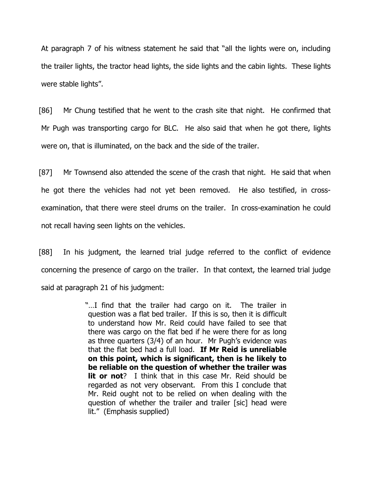At paragraph 7 of his witness statement he said that "all the lights were on, including the trailer lights, the tractor head lights, the side lights and the cabin lights. These lights were stable lights".

[86] Mr Chung testified that he went to the crash site that night. He confirmed that Mr Pugh was transporting cargo for BLC. He also said that when he got there, lights were on, that is illuminated, on the back and the side of the trailer.

[87] Mr Townsend also attended the scene of the crash that night. He said that when he got there the vehicles had not yet been removed. He also testified, in crossexamination, that there were steel drums on the trailer. In cross-examination he could not recall having seen lights on the vehicles.

[88] In his judgment, the learned trial judge referred to the conflict of evidence concerning the presence of cargo on the trailer. In that context, the learned trial judge said at paragraph 21 of his judgment:

> "…I find that the trailer had cargo on it. The trailer in question was a flat bed trailer. If this is so, then it is difficult to understand how Mr. Reid could have failed to see that there was cargo on the flat bed if he were there for as long as three quarters (3/4) of an hour. Mr Pugh's evidence was that the flat bed had a full load. If Mr Reid is unreliable on this point, which is significant, then is he likely to be reliable on the question of whether the trailer was **lit or not**? I think that in this case Mr. Reid should be regarded as not very observant. From this I conclude that Mr. Reid ought not to be relied on when dealing with the question of whether the trailer and trailer [sic] head were lit." (Emphasis supplied)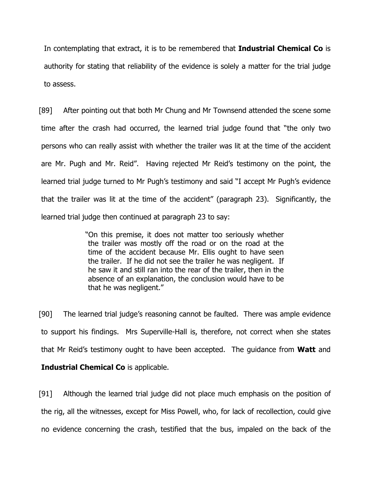In contemplating that extract, it is to be remembered that **Industrial Chemical Co** is authority for stating that reliability of the evidence is solely a matter for the trial judge to assess.

[89] After pointing out that both Mr Chung and Mr Townsend attended the scene some time after the crash had occurred, the learned trial judge found that "the only two persons who can really assist with whether the trailer was lit at the time of the accident are Mr. Pugh and Mr. Reid". Having rejected Mr Reid's testimony on the point, the learned trial judge turned to Mr Pugh's testimony and said "I accept Mr Pugh's evidence that the trailer was lit at the time of the accident" (paragraph 23). Significantly, the learned trial judge then continued at paragraph 23 to say:

> "On this premise, it does not matter too seriously whether the trailer was mostly off the road or on the road at the time of the accident because Mr. Ellis ought to have seen the trailer. If he did not see the trailer he was negligent. If he saw it and still ran into the rear of the trailer, then in the absence of an explanation, the conclusion would have to be that he was negligent."

[90] The learned trial judge's reasoning cannot be faulted. There was ample evidence to support his findings. Mrs Superville-Hall is, therefore, not correct when she states that Mr Reid's testimony ought to have been accepted. The guidance from Watt and

## Industrial Chemical Co is applicable.

[91] Although the learned trial judge did not place much emphasis on the position of the rig, all the witnesses, except for Miss Powell, who, for lack of recollection, could give no evidence concerning the crash, testified that the bus, impaled on the back of the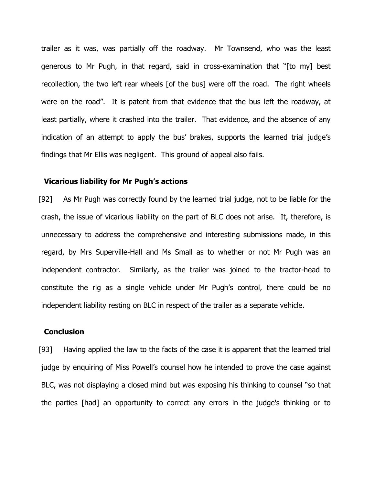trailer as it was, was partially off the roadway. Mr Townsend, who was the least generous to Mr Pugh, in that regard, said in cross-examination that "[to my] best recollection, the two left rear wheels [of the bus] were off the road. The right wheels were on the road". It is patent from that evidence that the bus left the roadway, at least partially, where it crashed into the trailer. That evidence, and the absence of any indication of an attempt to apply the bus' brakes, supports the learned trial judge's findings that Mr Ellis was negligent. This ground of appeal also fails.

## Vicarious liability for Mr Pugh's actions

[92] As Mr Pugh was correctly found by the learned trial judge, not to be liable for the crash, the issue of vicarious liability on the part of BLC does not arise. It, therefore, is unnecessary to address the comprehensive and interesting submissions made, in this regard, by Mrs Superville-Hall and Ms Small as to whether or not Mr Pugh was an independent contractor. Similarly, as the trailer was joined to the tractor-head to constitute the rig as a single vehicle under Mr Pugh's control, there could be no independent liability resting on BLC in respect of the trailer as a separate vehicle.

#### **Conclusion**

[93] Having applied the law to the facts of the case it is apparent that the learned trial judge by enquiring of Miss Powell's counsel how he intended to prove the case against BLC, was not displaying a closed mind but was exposing his thinking to counsel "so that the parties [had] an opportunity to correct any errors in the judge's thinking or to